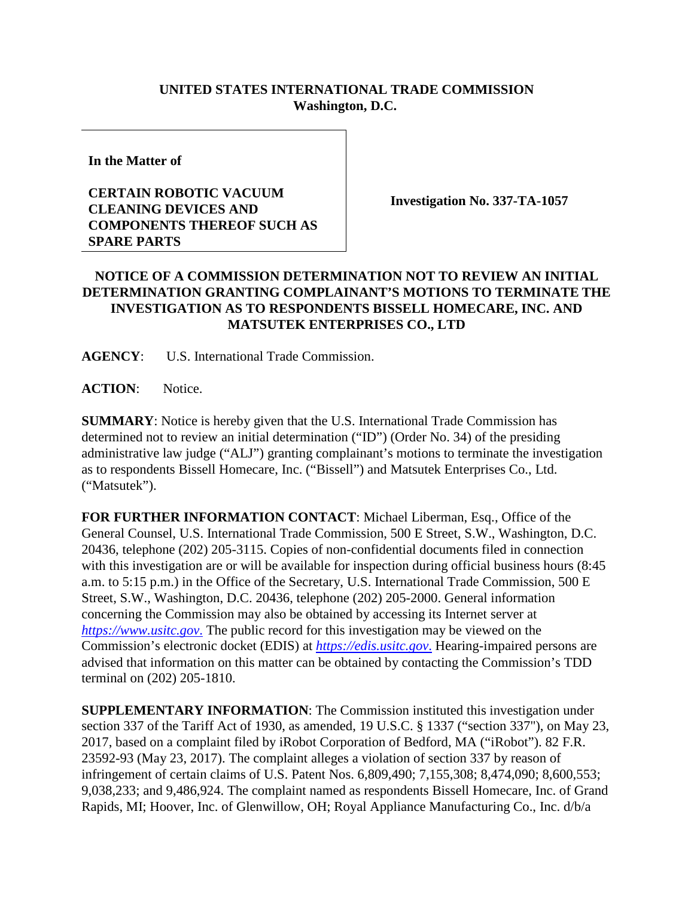## **UNITED STATES INTERNATIONAL TRADE COMMISSION Washington, D.C.**

**In the Matter of**

## **CERTAIN ROBOTIC VACUUM CLEANING DEVICES AND COMPONENTS THEREOF SUCH AS SPARE PARTS**

**Investigation No. 337-TA-1057**

## **NOTICE OF A COMMISSION DETERMINATION NOT TO REVIEW AN INITIAL DETERMINATION GRANTING COMPLAINANT'S MOTIONS TO TERMINATE THE INVESTIGATION AS TO RESPONDENTS BISSELL HOMECARE, INC. AND MATSUTEK ENTERPRISES CO., LTD**

**AGENCY**: U.S. International Trade Commission.

**ACTION**: Notice.

**SUMMARY**: Notice is hereby given that the U.S. International Trade Commission has determined not to review an initial determination ("ID") (Order No. 34) of the presiding administrative law judge ("ALJ") granting complainant's motions to terminate the investigation as to respondents Bissell Homecare, Inc. ("Bissell") and Matsutek Enterprises Co., Ltd. ("Matsutek").

**FOR FURTHER INFORMATION CONTACT**: Michael Liberman, Esq., Office of the General Counsel, U.S. International Trade Commission, 500 E Street, S.W., Washington, D.C. 20436, telephone (202) 205-3115. Copies of non-confidential documents filed in connection with this investigation are or will be available for inspection during official business hours (8:45 a.m. to 5:15 p.m.) in the Office of the Secretary, U.S. International Trade Commission, 500 E Street, S.W., Washington, D.C. 20436, telephone (202) 205-2000. General information concerning the Commission may also be obtained by accessing its Internet server at *[https://www.usitc.gov](https://www.usitc.gov./)*. The public record for this investigation may be viewed on the Commission's electronic docket (EDIS) at *[https://edis.usitc.gov](https://edis.usitc.gov./)*. Hearing-impaired persons are advised that information on this matter can be obtained by contacting the Commission's TDD terminal on (202) 205-1810.

**SUPPLEMENTARY INFORMATION**: The Commission instituted this investigation under section 337 of the Tariff Act of 1930, as amended, 19 U.S.C. § 1337 ("section 337"), on May 23, 2017, based on a complaint filed by iRobot Corporation of Bedford, MA ("iRobot"). 82 F.R. 23592-93 (May 23, 2017). The complaint alleges a violation of section 337 by reason of infringement of certain claims of U.S. Patent Nos. 6,809,490; 7,155,308; 8,474,090; 8,600,553; 9,038,233; and 9,486,924. The complaint named as respondents Bissell Homecare, Inc. of Grand Rapids, MI; Hoover, Inc. of Glenwillow, OH; Royal Appliance Manufacturing Co., Inc. d/b/a